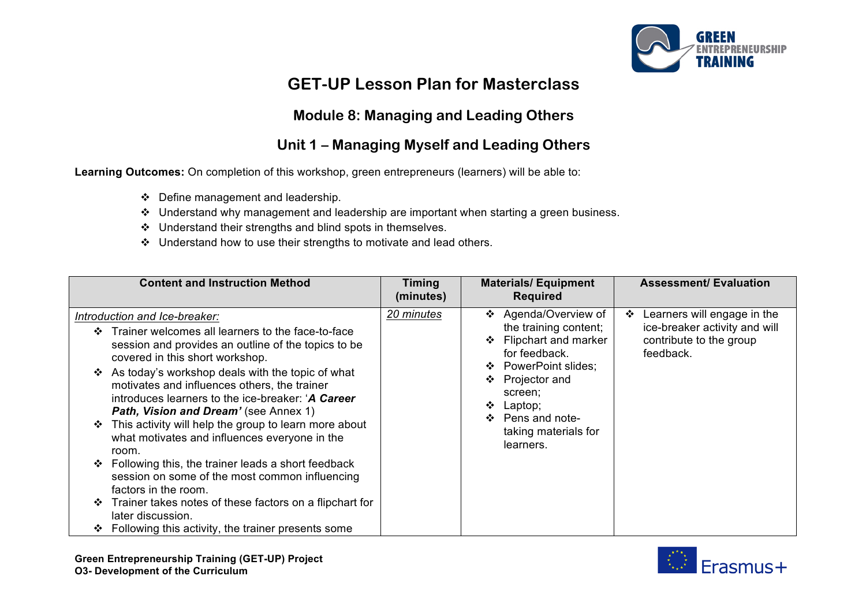

# **GET-UP Lesson Plan for Masterclass**

#### **Module 8: Managing and Leading Others**

### **Unit 1 – Managing Myself and Leading Others**

**Learning Outcomes:** On completion of this workshop, green entrepreneurs (learners) will be able to:

- $\div$  Define management and leadership.
- $\cdot$  Understand why management and leadership are important when starting a green business.
- $\cdot$  Understand their strengths and blind spots in themselves.
- $\cdot$  Understand how to use their strengths to motivate and lead others.

| <b>Content and Instruction Method</b>                                                                                                                                                                                                                                                                                                                                                                                                                                                                                                                                                                                                                                                                                                                                                         | <b>Timing</b><br>(minutes) | <b>Materials/Equipment</b><br><b>Required</b>                                                                                                                                                                                                    | <b>Assessment/ Evaluation</b>                                                                             |
|-----------------------------------------------------------------------------------------------------------------------------------------------------------------------------------------------------------------------------------------------------------------------------------------------------------------------------------------------------------------------------------------------------------------------------------------------------------------------------------------------------------------------------------------------------------------------------------------------------------------------------------------------------------------------------------------------------------------------------------------------------------------------------------------------|----------------------------|--------------------------------------------------------------------------------------------------------------------------------------------------------------------------------------------------------------------------------------------------|-----------------------------------------------------------------------------------------------------------|
| Introduction and Ice-breaker:<br>Trainer welcomes all learners to the face-to-face<br>session and provides an outline of the topics to be<br>covered in this short workshop.<br>❖ As today's workshop deals with the topic of what<br>motivates and influences others, the trainer<br>introduces learners to the ice-breaker: 'A Career<br>Path, Vision and Dream' (see Annex 1)<br>This activity will help the group to learn more about<br>❖<br>what motivates and influences everyone in the<br>room.<br>Following this, the trainer leads a short feedback<br>❖<br>session on some of the most common influencing<br>factors in the room.<br>Trainer takes notes of these factors on a flipchart for<br>❖<br>later discussion.<br>Following this activity, the trainer presents some<br>❖ | 20 minutes                 | Agenda/Overview of<br>❖<br>the training content;<br>Flipchart and marker<br>for feedback.<br><b>PowerPoint slides;</b><br>❖<br>Projector and<br>❖<br>screen;<br>❖<br>Laptop;<br>Pens and note-<br>$\bullet$<br>taking materials for<br>learners. | Learners will engage in the<br>❖<br>ice-breaker activity and will<br>contribute to the group<br>feedback. |

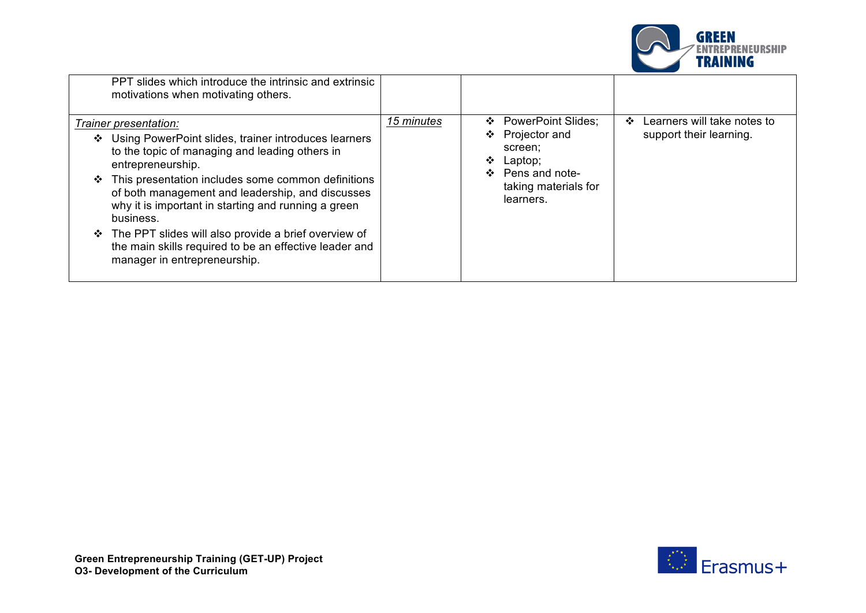

| PPT slides which introduce the intrinsic and extrinsic<br>motivations when motivating others.                                                                                                                                                                                                                                                                                                                                                                                                               |            |                                                                                                                                       |                                                                   |
|-------------------------------------------------------------------------------------------------------------------------------------------------------------------------------------------------------------------------------------------------------------------------------------------------------------------------------------------------------------------------------------------------------------------------------------------------------------------------------------------------------------|------------|---------------------------------------------------------------------------------------------------------------------------------------|-------------------------------------------------------------------|
| Trainer presentation:<br>Using PowerPoint slides, trainer introduces learners<br>❖<br>to the topic of managing and leading others in<br>entrepreneurship.<br>This presentation includes some common definitions<br>❖<br>of both management and leadership, and discusses<br>why it is important in starting and running a green<br>business.<br>The PPT slides will also provide a brief overview of<br><b>**</b><br>the main skills required to be an effective leader and<br>manager in entrepreneurship. | 15 minutes | <b>PowerPoint Slides:</b><br>❖<br>❖ Projector and<br>screen;<br>Laptop;<br>❖<br>❖ Pens and note-<br>taking materials for<br>learners. | Learners will take notes to<br>$\cdot$<br>support their learning. |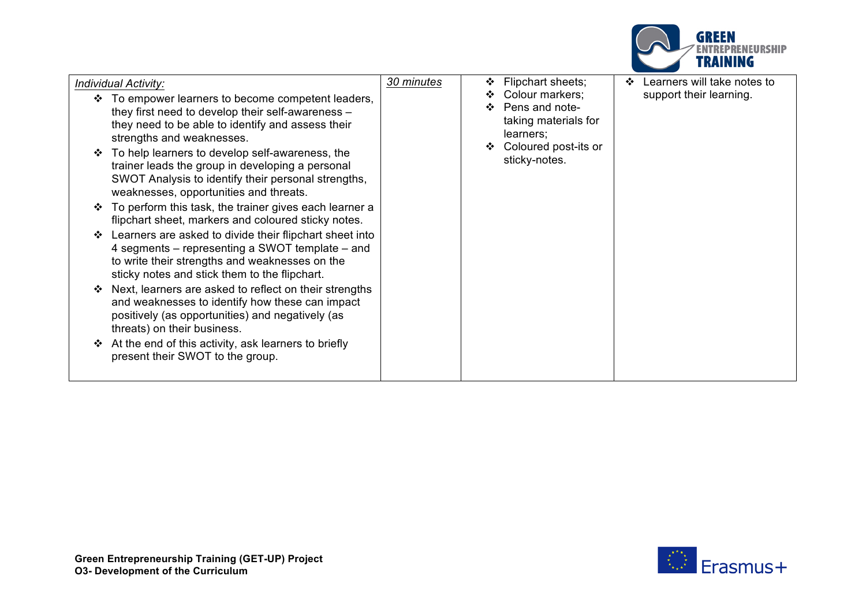

| <b>Individual Activity:</b>                                                                                                                                                                                   | 30 minutes | Flipchart sheets;<br>❖                                                                                   | Learners will take notes to<br>❖ |
|---------------------------------------------------------------------------------------------------------------------------------------------------------------------------------------------------------------|------------|----------------------------------------------------------------------------------------------------------|----------------------------------|
| To empower learners to become competent leaders,<br>they first need to develop their self-awareness -<br>they need to be able to identify and assess their<br>strengths and weaknesses.                       |            | Colour markers;<br>❖<br>Pens and note-<br>❖<br>taking materials for<br>learners;<br>Coloured post-its or | support their learning.          |
| To help learners to develop self-awareness, the<br>trainer leads the group in developing a personal<br>SWOT Analysis to identify their personal strengths,<br>weaknesses, opportunities and threats.          |            | sticky-notes.                                                                                            |                                  |
| To perform this task, the trainer gives each learner a<br>flipchart sheet, markers and coloured sticky notes.                                                                                                 |            |                                                                                                          |                                  |
| Learners are asked to divide their flipchart sheet into<br>4 segments – representing a SWOT template – and<br>to write their strengths and weaknesses on the<br>sticky notes and stick them to the flipchart. |            |                                                                                                          |                                  |
| Next, learners are asked to reflect on their strengths<br>and weaknesses to identify how these can impact<br>positively (as opportunities) and negatively (as<br>threats) on their business.                  |            |                                                                                                          |                                  |
| At the end of this activity, ask learners to briefly<br>present their SWOT to the group.                                                                                                                      |            |                                                                                                          |                                  |

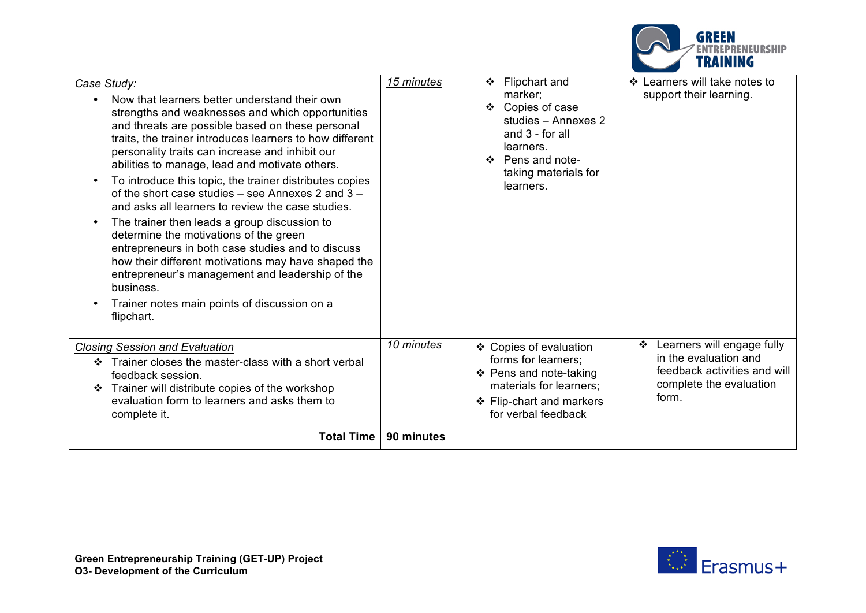

| Case Study:                                                                                                                                                                                                                                                                                                                                                                                                                                                                                                                                                                                                                                                                                                                                                                                                                                                                | 15 minutes | Flipchart and<br>❖                                                                                                                                    | ❖ Learners will take notes to                                                                                                |
|----------------------------------------------------------------------------------------------------------------------------------------------------------------------------------------------------------------------------------------------------------------------------------------------------------------------------------------------------------------------------------------------------------------------------------------------------------------------------------------------------------------------------------------------------------------------------------------------------------------------------------------------------------------------------------------------------------------------------------------------------------------------------------------------------------------------------------------------------------------------------|------------|-------------------------------------------------------------------------------------------------------------------------------------------------------|------------------------------------------------------------------------------------------------------------------------------|
| Now that learners better understand their own<br>$\bullet$<br>strengths and weaknesses and which opportunities<br>and threats are possible based on these personal<br>traits, the trainer introduces learners to how different<br>personality traits can increase and inhibit our<br>abilities to manage, lead and motivate others.<br>To introduce this topic, the trainer distributes copies<br>$\bullet$<br>of the short case studies $-$ see Annexes 2 and 3 $-$<br>and asks all learners to review the case studies.<br>The trainer then leads a group discussion to<br>$\bullet$<br>determine the motivations of the green<br>entrepreneurs in both case studies and to discuss<br>how their different motivations may have shaped the<br>entrepreneur's management and leadership of the<br>business.<br>Trainer notes main points of discussion on a<br>flipchart. |            | marker;<br>❖ Copies of case<br>studies - Annexes 2<br>and $3 -$ for all<br>learners.<br>❖ Pens and note-<br>taking materials for<br>learners.         | support their learning.                                                                                                      |
| <b>Closing Session and Evaluation</b><br>Trainer closes the master-class with a short verbal<br>❖<br>feedback session.<br>Trainer will distribute copies of the workshop<br>❖<br>evaluation form to learners and asks them to<br>complete it.                                                                                                                                                                                                                                                                                                                                                                                                                                                                                                                                                                                                                              | 10 minutes | ❖ Copies of evaluation<br>forms for learners:<br>❖ Pens and note-taking<br>materials for learners;<br>❖ Flip-chart and markers<br>for verbal feedback | Learners will engage fully<br>❖<br>in the evaluation and<br>feedback activities and will<br>complete the evaluation<br>form. |
| <b>Total Time</b>                                                                                                                                                                                                                                                                                                                                                                                                                                                                                                                                                                                                                                                                                                                                                                                                                                                          | 90 minutes |                                                                                                                                                       |                                                                                                                              |

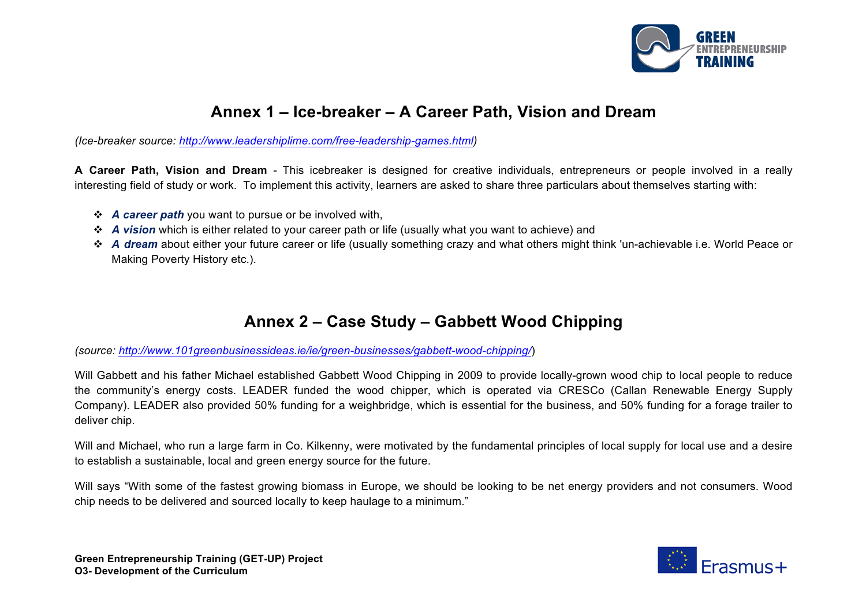

## **Annex 1 – Ice-breaker – A Career Path, Vision and Dream**

*(Ice-breaker source: http://www.leadershiplime.com/free-leadership-games.html)* 

**A Career Path, Vision and Dream** - This icebreaker is designed for creative individuals, entrepreneurs or people involved in a really interesting field of study or work. To implement this activity, learners are asked to share three particulars about themselves starting with:

- v *A career path* you want to pursue or be involved with,
- v *A vision* which is either related to your career path or life (usually what you want to achieve) and
- v *A dream* about either your future career or life (usually something crazy and what others might think 'un-achievable i.e. World Peace or Making Poverty History etc.).

## **Annex 2 – Case Study – Gabbett Wood Chipping**

*(source: http://www.101greenbusinessideas.ie/ie/green-businesses/gabbett-wood-chipping/*)

Will Gabbett and his father Michael established Gabbett Wood Chipping in 2009 to provide locally-grown wood chip to local people to reduce the community's energy costs. LEADER funded the wood chipper, which is operated via CRESCo (Callan Renewable Energy Supply Company). LEADER also provided 50% funding for a weighbridge, which is essential for the business, and 50% funding for a forage trailer to deliver chip.

Will and Michael, who run a large farm in Co. Kilkenny, were motivated by the fundamental principles of local supply for local use and a desire to establish a sustainable, local and green energy source for the future.

Will says "With some of the fastest growing biomass in Europe, we should be looking to be net energy providers and not consumers. Wood chip needs to be delivered and sourced locally to keep haulage to a minimum."

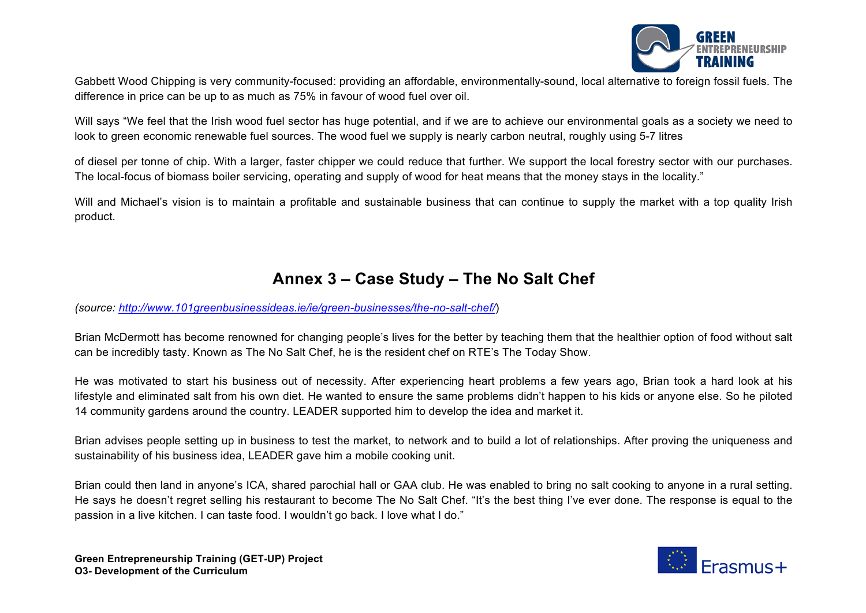

Gabbett Wood Chipping is very community-focused: providing an affordable, environmentally-sound, local alternative to foreign fossil fuels. The difference in price can be up to as much as 75% in favour of wood fuel over oil.

Will says "We feel that the Irish wood fuel sector has huge potential, and if we are to achieve our environmental goals as a society we need to look to green economic renewable fuel sources. The wood fuel we supply is nearly carbon neutral, roughly using 5-7 litres

of diesel per tonne of chip. With a larger, faster chipper we could reduce that further. We support the local forestry sector with our purchases. The local-focus of biomass boiler servicing, operating and supply of wood for heat means that the money stays in the locality."

Will and Michael's vision is to maintain a profitable and sustainable business that can continue to supply the market with a top quality Irish product.

# **Annex 3 – Case Study – The No Salt Chef**

*(source: http://www.101greenbusinessideas.ie/ie/green-businesses/the-no-salt-chef/*)

Brian McDermott has become renowned for changing people's lives for the better by teaching them that the healthier option of food without salt can be incredibly tasty. Known as The No Salt Chef, he is the resident chef on RTE's The Today Show.

He was motivated to start his business out of necessity. After experiencing heart problems a few years ago, Brian took a hard look at his lifestyle and eliminated salt from his own diet. He wanted to ensure the same problems didn't happen to his kids or anyone else. So he piloted 14 community gardens around the country. LEADER supported him to develop the idea and market it.

Brian advises people setting up in business to test the market, to network and to build a lot of relationships. After proving the uniqueness and sustainability of his business idea, LEADER gave him a mobile cooking unit.

Brian could then land in anyone's ICA, shared parochial hall or GAA club. He was enabled to bring no salt cooking to anyone in a rural setting. He says he doesn't regret selling his restaurant to become The No Salt Chef. "It's the best thing I've ever done. The response is equal to the passion in a live kitchen. I can taste food. I wouldn't go back. I love what I do."